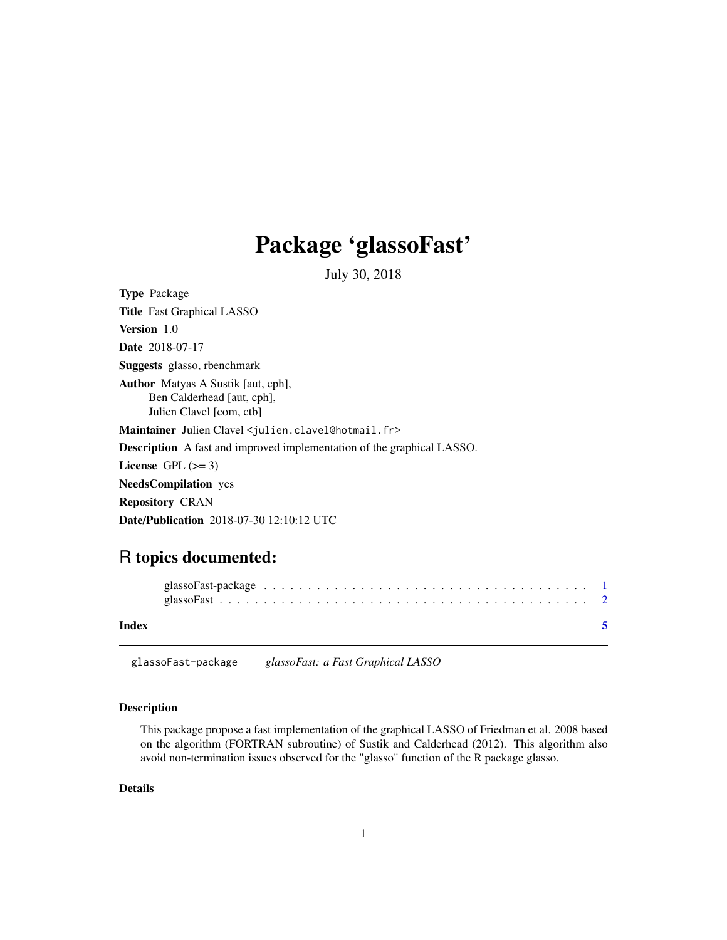## <span id="page-0-0"></span>Package 'glassoFast'

July 30, 2018

| <b>Type Package</b>                                                                                 |
|-----------------------------------------------------------------------------------------------------|
| <b>Title</b> Fast Graphical LASSO                                                                   |
| <b>Version</b> 1.0                                                                                  |
| <b>Date</b> 2018-07-17                                                                              |
| Suggests glasso, rbenchmark                                                                         |
| <b>Author</b> Matyas A Sustik [aut, cph],<br>Ben Calderhead [aut, cph],<br>Julien Clavel [com, ctb] |
| Maintainer Julien Clavel < julien.clavel@hotmail.fr>                                                |
| <b>Description</b> A fast and improved implementation of the graphical LASSO.                       |
| License $GPL (= 3)$                                                                                 |
| <b>NeedsCompilation</b> yes                                                                         |
| <b>Repository CRAN</b>                                                                              |
| <b>Date/Publication</b> 2018-07-30 12:10:12 UTC                                                     |
|                                                                                                     |

### R topics documented:

| Index |  |  |  |  |  |  |  |  |  |  |  |  |  |  |  |  |
|-------|--|--|--|--|--|--|--|--|--|--|--|--|--|--|--|--|

glassoFast-package *glassoFast: a Fast Graphical LASSO*

#### Description

This package propose a fast implementation of the graphical LASSO of Friedman et al. 2008 based on the algorithm (FORTRAN subroutine) of Sustik and Calderhead (2012). This algorithm also avoid non-termination issues observed for the "glasso" function of the R package glasso.

#### Details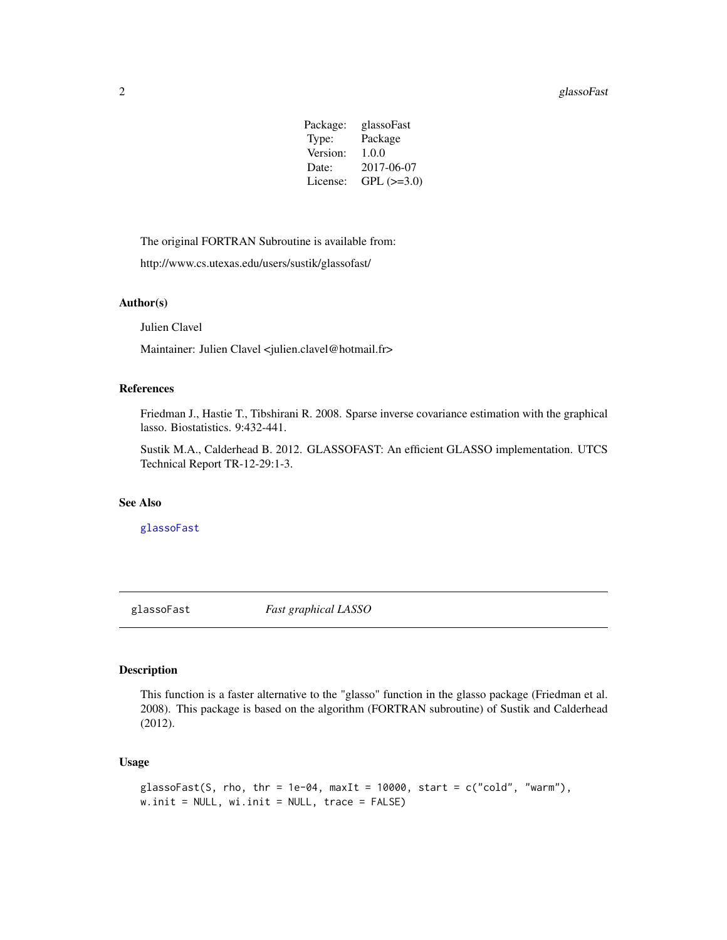#### <span id="page-1-0"></span>2 glassoFast

| Package: | glassoFast        |
|----------|-------------------|
| Type:    | Package           |
| Version: | 1.0.0             |
| Date:    | 2017-06-07        |
| License: | $GPL$ ( $>=3.0$ ) |
|          |                   |

The original FORTRAN Subroutine is available from:

http://www.cs.utexas.edu/users/sustik/glassofast/

#### Author(s)

Julien Clavel

Maintainer: Julien Clavel <julien.clavel@hotmail.fr>

#### References

Friedman J., Hastie T., Tibshirani R. 2008. Sparse inverse covariance estimation with the graphical lasso. Biostatistics. 9:432-441.

Sustik M.A., Calderhead B. 2012. GLASSOFAST: An efficient GLASSO implementation. UTCS Technical Report TR-12-29:1-3.

#### See Also

[glassoFast](#page-1-1)

<span id="page-1-1"></span>glassoFast *Fast graphical LASSO*

#### Description

This function is a faster alternative to the "glasso" function in the glasso package (Friedman et al. 2008). This package is based on the algorithm (FORTRAN subroutine) of Sustik and Calderhead (2012).

#### Usage

```
glassoFast(S, rho, thr = 1e-04, maxIt = 10000, start = c("cold", "warm"),w.init = NULL, wi.init = NULL, trace = FALSE)
```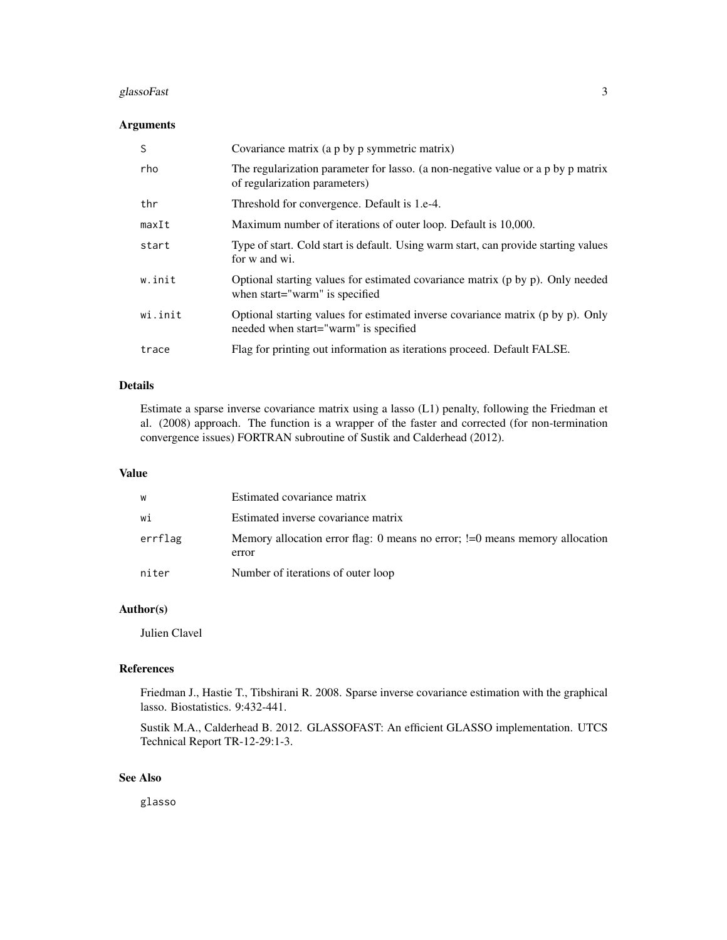#### glassoFast 3

#### Arguments

| S       | Covariance matrix (a p by p symmetric matrix)                                                                            |
|---------|--------------------------------------------------------------------------------------------------------------------------|
| rho     | The regularization parameter for lasso. (a non-negative value or a p by p matrix<br>of regularization parameters)        |
| thr     | Threshold for convergence. Default is 1.e-4.                                                                             |
| maxIt   | Maximum number of iterations of outer loop. Default is 10,000.                                                           |
| start   | Type of start. Cold start is default. Using warm start, can provide starting values<br>for w and wi.                     |
| w.init  | Optional starting values for estimated covariance matrix (p by p). Only needed<br>when start="warm" is specified         |
| wi.init | Optional starting values for estimated inverse covariance matrix (p by p). Only<br>needed when start="warm" is specified |
| trace   | Flag for printing out information as iterations proceed. Default FALSE.                                                  |

#### Details

Estimate a sparse inverse covariance matrix using a lasso (L1) penalty, following the Friedman et al. (2008) approach. The function is a wrapper of the faster and corrected (for non-termination convergence issues) FORTRAN subroutine of Sustik and Calderhead (2012).

#### Value

| W       | Estimated covariance matrix                                                           |
|---------|---------------------------------------------------------------------------------------|
| wi      | Estimated inverse covariance matrix                                                   |
| errflag | Memory allocation error flag: 0 means no error; != 0 means memory allocation<br>error |
| niter   | Number of iterations of outer loop                                                    |

#### Author(s)

Julien Clavel

#### References

Friedman J., Hastie T., Tibshirani R. 2008. Sparse inverse covariance estimation with the graphical lasso. Biostatistics. 9:432-441.

Sustik M.A., Calderhead B. 2012. GLASSOFAST: An efficient GLASSO implementation. UTCS Technical Report TR-12-29:1-3.

#### See Also

glasso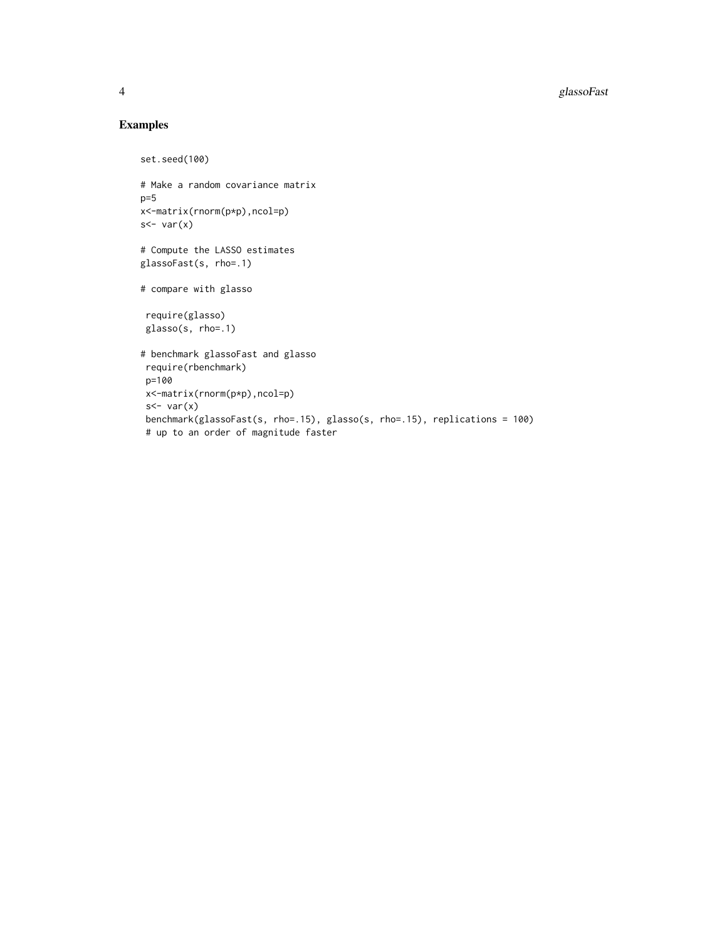#### Examples

```
set.seed(100)
# Make a random covariance matrix
p=5x<-matrix(rnorm(p*p),ncol=p)
s - var(x)# Compute the LASSO estimates
glassoFast(s, rho=.1)
# compare with glasso
require(glasso)
 glasso(s, rho=.1)
# benchmark glassoFast and glasso
 require(rbenchmark)
 p=100
 x<-matrix(rnorm(p*p),ncol=p)
 s <- var(x)benchmark(glassoFast(s, rho=.15), glasso(s, rho=.15), replications = 100)
 # up to an order of magnitude faster
```